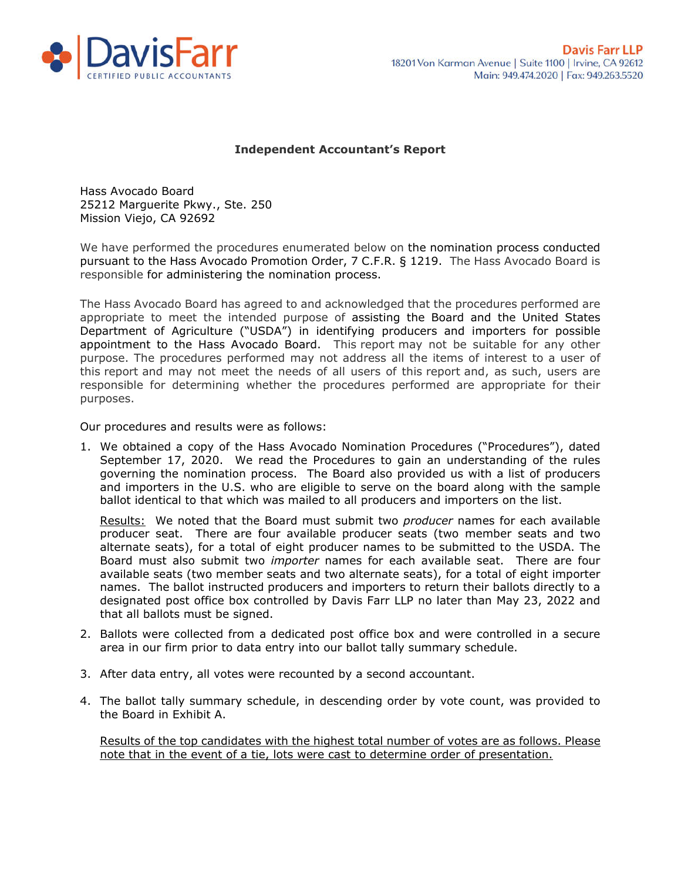

## **Independent Accountant's Report**

Hass Avocado Board 25212 Marguerite Pkwy., Ste. 250 Mission Viejo, CA 92692

We have performed the procedures enumerated below on the nomination process conducted pursuant to the Hass Avocado Promotion Order, 7 C.F.R. § 1219. The Hass Avocado Board is responsible for administering the nomination process.

The Hass Avocado Board has agreed to and acknowledged that the procedures performed are appropriate to meet the intended purpose of assisting the Board and the United States Department of Agriculture ("USDA") in identifying producers and importers for possible appointment to the Hass Avocado Board. This report may not be suitable for any other purpose. The procedures performed may not address all the items of interest to a user of this report and may not meet the needs of all users of this report and, as such, users are responsible for determining whether the procedures performed are appropriate for their purposes.

Our procedures and results were as follows:

1. We obtained a copy of the Hass Avocado Nomination Procedures ("Procedures"), dated September 17, 2020. We read the Procedures to gain an understanding of the rules governing the nomination process. The Board also provided us with a list of producers and importers in the U.S. who are eligible to serve on the board along with the sample ballot identical to that which was mailed to all producers and importers on the list.

Results: We noted that the Board must submit two *producer* names for each available producer seat. There are four available producer seats (two member seats and two alternate seats), for a total of eight producer names to be submitted to the USDA. The Board must also submit two *importer* names for each available seat. There are four available seats (two member seats and two alternate seats), for a total of eight importer names. The ballot instructed producers and importers to return their ballots directly to a designated post office box controlled by Davis Farr LLP no later than May 23, 2022 and that all ballots must be signed.

- 2. Ballots were collected from a dedicated post office box and were controlled in a secure area in our firm prior to data entry into our ballot tally summary schedule.
- 3. After data entry, all votes were recounted by a second accountant.
- 4. The ballot tally summary schedule, in descending order by vote count, was provided to the Board in Exhibit A.

Results of the top candidates with the highest total number of votes are as follows. Please note that in the event of a tie, lots were cast to determine order of presentation.